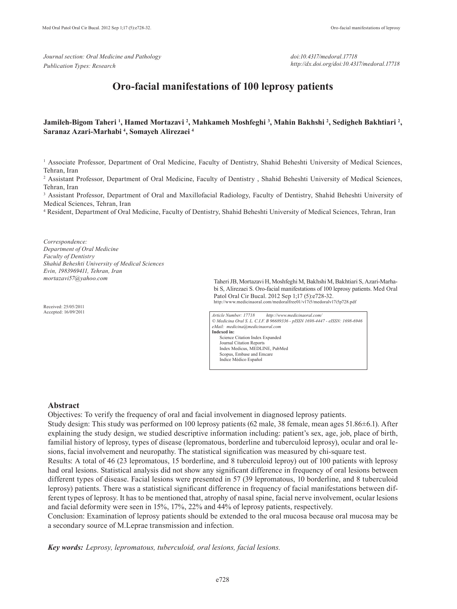*Journal section: Oral Medicine and Pathology Publication Types: Research*

*doi:10.4317/medoral.17718 http://dx.doi.org/doi:10.4317/medoral.17718*

# **Oro-facial manifestations of 100 leprosy patients**

## Jamileh-Bigom Taheri <sup>1</sup>, Hamed Mortazavi <sup>2</sup>, Mahkameh Moshfeghi <sup>3</sup>, Mahin Bakhshi <sup>2</sup>, Sedigheh Bakhtiari <sup>2</sup>, **Saranaz Azari-Marhabi 4 , Somayeh Alirezaei 4**

<sup>1</sup> Associate Professor, Department of Oral Medicine, Faculty of Dentistry, Shahid Beheshti University of Medical Sciences, Tehran, Iran

2 Assistant Professor, Department of Oral Medicine, Faculty of Dentistry , Shahid Beheshti University of Medical Sciences, Tehran, Iran

<sup>3</sup> Assistant Professor, Department of Oral and Maxillofacial Radiology, Faculty of Dentistry, Shahid Beheshti University of Medical Sciences, Tehran, Iran

4 Resident, Department of Oral Medicine, Faculty of Dentistry, Shahid Beheshti University of Medical Sciences, Tehran, Iran

*Correspondence: Department of Oral Medicine Faculty of Dentistry Shahid Beheshti University of Medical Sciences Evin, 1983969411, Tehran, Iran mortazavi57@yahoo.com*

Received: 25/05/2011 Accepted: 16/09/2011

Taheri JB, Mortazavi H, Moshfeghi M, Bakhshi M, Bakhtiari S, Azari-Marhabi S, Alirezaei S. Oro-facial manifestations of 100 leprosy patients. Med Oral Patol Oral Cir Bucal. 2012 Sep 1;17 (5):e728-32. http://www.medicinaoral.com/medoralfree01/v17i5/medoralv17i5p728.pdf

*Article Number: 17718 http://www.medicinaoral.com/ © Medicina Oral S. L. C.I.F. B 96689336 - pISSN 1698-4447 - eISSN: 1698-6946 eMail: medicina@medicinaoral.com*  **Indexed in:**  Science Citation Index Expanded Journal Citation Reports Index Medicus, MEDLINE, PubMed Scopus, Embase and Emcare Indice Médico Español

#### **Abstract**

Objectives: To verify the frequency of oral and facial involvement in diagnosed leprosy patients.

Study design: This study was performed on 100 leprosy patients (62 male, 38 female, mean ages 51.86±6.1). After explaining the study design, we studied descriptive information including: patient's sex, age, job, place of birth, familial history of leprosy, types of disease (lepromatous, borderline and tuberculoid leprosy), ocular and oral lesions, facial involvement and neuropathy. The statistical signification was measured by chi-square test.

Results: A total of 46 (23 lepromatous, 15 borderline, and 8 tuberculoid leproy) out of 100 patients with leprosy had oral lesions. Statistical analysis did not show any significant difference in frequency of oral lesions between different types of disease. Facial lesions were presented in 57 (39 lepromatous, 10 borderline, and 8 tuberculoid leprosy) patients. There was a statistical significant difference in frequency of facial manifestations between different types of leprosy. It has to be mentioned that, atrophy of nasal spine, facial nerve involvement, ocular lesions and facial deformity were seen in 15%, 17%, 22% and 44% of leprosy patients, respectively.

Conclusion: Examination of leprosy patients should be extended to the oral mucosa because oral mucosa may be a secondary source of M.Leprae transmission and infection.

*Key words: Leprosy, lepromatous, tuberculoid, oral lesions, facial lesions.*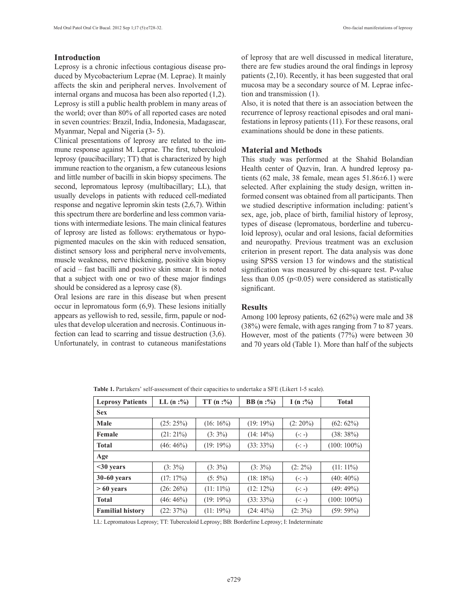## **Introduction**

Leprosy is a chronic infectious contagious disease produced by Mycobacterium Leprae (M. Leprae). It mainly affects the skin and peripheral nerves. Involvement of internal organs and mucosa has been also reported (1,2). Leprosy is still a public health problem in many areas of the world; over than 80% of all reported cases are noted in seven countries: Brazil, India, Indonesia, Madagascar, Myanmar, Nepal and Nigeria (3- 5).

Clinical presentations of leprosy are related to the immune response against M. Leprae. The first, tuberculoid leprosy (paucibacillary; TT) that is characterized by high immune reaction to the organism, a few cutaneous lesions and little number of bacilli in skin biopsy specimens. The second, lepromatous leprosy (multibacillary; LL), that usually develops in patients with reduced cell-mediated response and negative lepromin skin tests (2,6,7). Within this spectrum there are borderline and less common variations with intermediate lesions. The main clinical features of leprosy are listed as follows: erythematous or hypopigmented macules on the skin with reduced sensation, distinct sensory loss and peripheral nerve involvements, muscle weakness, nerve thickening, positive skin biopsy of acid – fast bacilli and positive skin smear. It is noted that a subject with one or two of these major findings should be considered as a leprosy case (8).

Oral lesions are rare in this disease but when present occur in lepromatous form (6,9). These lesions initially appears as yellowish to red, sessile, firm, papule or nodules that develop ulceration and necrosis. Continuous infection can lead to scarring and tissue destruction (3,6). Unfortunately, in contrast to cutaneous manifestations of leprosy that are well discussed in medical literature, there are few studies around the oral findings in leprosy patients (2,10). Recently, it has been suggested that oral mucosa may be a secondary source of M. Leprae infection and transmission (1).

Also, it is noted that there is an association between the recurrence of leprosy reactional episodes and oral manifestations in leprosy patients (11). For these reasons, oral examinations should be done in these patients.

## **Material and Methods**

This study was performed at the Shahid Bolandian Health center of Qazvin, Iran. A hundred leprosy patients (62 male, 38 female, mean ages 51.86±6.1) were selected. After explaining the study design, written informed consent was obtained from all participants. Then we studied descriptive information including: patient's sex, age, job, place of birth, familial history of leprosy, types of disease (lepromatous, borderline and tuberculoid leprosy), ocular and oral lesions, facial deformities and neuropathy. Previous treatment was an exclusion criterion in present report. The data analysis was done using SPSS version 13 for windows and the statistical signification was measured by chi-square test. P-value less than  $0.05$  ( $p<0.05$ ) were considered as statistically significant.

### **Results**

Among 100 leprosy patients, 62 (62%) were male and 38 (38%) were female, with ages ranging from 7 to 87 years. However, most of the patients (77%) were between 30 and 70 years old (Table 1). More than half of the subjects

| <b>Leprosy Patients</b> | $LL (n : \%)$ | TT(n:%)     | <b>BB</b> $(n:%)$ | I (n :%)   | <b>Total</b>   |  |  |  |  |
|-------------------------|---------------|-------------|-------------------|------------|----------------|--|--|--|--|
| <b>Sex</b>              |               |             |                   |            |                |  |  |  |  |
| Male                    | (25: 25%)     | $(16:16\%)$ | (19:19%)          | $(2:20\%)$ | $(62:62\%)$    |  |  |  |  |
| Female                  | $(21:21\%)$   | $(3:3\%)$   | $(14:14\%)$       | $(-: -)$   | (38:38%)       |  |  |  |  |
| <b>Total</b>            | $(46:46\%)$   | (19:19%)    | $(33:33\%)$       | $(-: -)$   | $(100: 100\%)$ |  |  |  |  |
| Age                     |               |             |                   |            |                |  |  |  |  |
| $\leq$ 30 years         | $(3:3\%)$     | $(3:3\%)$   | $(3:3\%)$         | $(2:2\%)$  | $(11:11\%)$    |  |  |  |  |
| 30-60 years             | (17:17%)      | $(5:5\%)$   | (18:18%)          | $(-: -)$   | $(40:40\%)$    |  |  |  |  |
| $>60$ years             | $(26:26\%)$   | $(11:11\%)$ | $(12:12\%)$       | $(-: -)$   | (49:49%)       |  |  |  |  |
| <b>Total</b>            | $(46:46\%)$   | (19:19%)    | (33:33%)          | $(-: -)$   | $(100: 100\%)$ |  |  |  |  |
| <b>Familial history</b> | (22:37%)      | $(11:19\%)$ | $(24:41\%)$       | $(2:3\%)$  | (59:59%)       |  |  |  |  |

**Table 1.** Partakers' self-assessment of their capacities to undertake a SFE (Likert 1-5 scale).

LL: Lepromatous Leprosy; TT: Tuberculoid Leprosy; BB: Borderline Leprosy; I: Indeterminate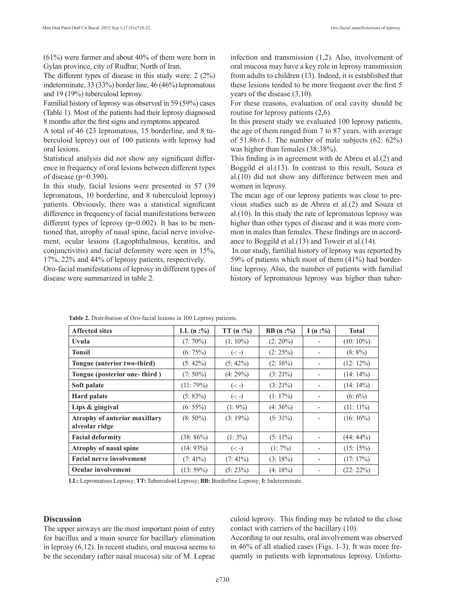(61%) were farmer and about 40% of them were born in Gylan province, city of Rudbar, North of Iran.

The different types of disease in this study were: 2 (2%) indeterminate, 33 (33%) border line, 46 (46%) lepromatous and 19 (19%) tuberculoid leprosy.

Familial history of leprosy was observed in 59 (59%) cases (Table 1). Most of the patients had their leprosy diagnosed 8 months after the first signs and symptoms appeared.

A total of 46 (23 lepromatous, 15 borderline, and 8 tuberculoid leproy) out of 100 patients with leprosy had oral lesions.

Statistical analysis did not show any significant difference in frequency of oral lesions between different types of disease (p=0.390).

In this study, facial lesions were presented in 57 (39 lepromatous, 10 borderline, and 8 tuberculoid leprosy) patients. Obviously, there was a statistical significant difference in frequency of facial manifestations between different types of leprosy  $(p=0.002)$ . It has to be mentioned that, atrophy of nasal spine, facial nerve involvement, ocular lesions (Lagophthalmous, keratitis, and conjunctivitis) and facial deformity were seen in 15%, 17%, 22% and 44% of leprosy patients, respectively.

Oro-facial manifestations of leprosy in different types of disease were summarized in table 2.

infection and transmission (1,2). Also, involvement of oral mucosa may have a key role in leprosy transmission from adults to children (13). Indeed, it is established that these lesions tended to be more frequent over the first 5 years of the disease (3,10).

For these reasons, evaluation of oral cavity should be routine for leprosy patients (2,6).

In this present study we evaluated 100 leprosy patients, the age of them ranged from 7 to 87 years, with average of  $51.86\pm6.1$ . The number of male subjects  $(62: 62\%)$ was higher than females (38:38%).

This finding is in agreement with de Abreu et al.(2) and Boggild et al.(13). In contrast to this result, Souza et al.(10) did not show any difference between men and women in leprosy.

The mean age of our leprosy patients was close to previous studies such as de Abreu et al.(2) and Souza et al.(10). In this study the rate of lepromatous leprosy was higher than other types of disease and it was more common in males than females. These findings are in accordance to Boggild et al.(13) and Toweir et al.(14).

 In our study, familial history of leprosy was reported by 59% of patients which most of them (41%) had borderline leprosy. Also, the number of patients with familial history of lepromatous leprosy was higher than tuber-

| <b>Affected sites</b>                           | $LL (n : \%)$ | TT(n:%)    | <b>BB</b> $(n:%)$ | I (n :%)                 | <b>Total</b> |
|-------------------------------------------------|---------------|------------|-------------------|--------------------------|--------------|
| Uvula                                           | $(7:70\%)$    | $(1:10\%)$ | $(2:20\%)$        |                          | $(10:10\%)$  |
| <b>Tonsil</b>                                   | $(6:75\%)$    | $(-: -)$   | $(2:25\%)$        |                          | $(8:8\%)$    |
| Tongue (anterior two-third)                     | $(5: 42\%)$   | $(5:42\%)$ | $(2:16\%)$        | $\overline{\phantom{a}}$ | $(12: 12\%)$ |
| Tongue (posterior one-third)                    | $(7:50\%)$    | $(4:29\%)$ | $(3:21\%)$        |                          | $(14:14\%)$  |
| Soft palate                                     | $(11:79\%)$   | $(-: -)$   | $(3:21\%)$        | $\overline{\phantom{a}}$ | $(14:14\%)$  |
| Hard palate                                     | $(5: 83\%)$   | $(-: -)$   | $(1:17\%)$        | $\overline{\phantom{a}}$ | $(6:6\%)$    |
| Lips & gingival                                 | $(6: 55\%)$   | $(1:9\%)$  | $(4:36\%)$        | $\overline{\phantom{0}}$ | $(11:11\%)$  |
| Atrophy of anterior maxillary<br>alveolar ridge | $(8:50\%)$    | $(3:19\%)$ | $(5:31\%)$        |                          | $(16:16\%)$  |
| <b>Facial deformity</b>                         | $(38:86\%)$   | $(1:3\%)$  | $(5:11\%)$        |                          | $(44:44\%)$  |
| Atrophy of nasal spine                          | $(14:93\%)$   | $(-: -)$   | $(1:7\%)$         | $\overline{\phantom{a}}$ | (15:15%)     |
| <b>Facial nerve involvement</b>                 | $(7:41\%)$    | $(7:41\%)$ | $(3:18\%)$        | $\overline{\phantom{a}}$ | $(17: 17\%)$ |
| <b>Ocular involvement</b>                       | $(13:59\%)$   | (5:23%)    | $(4:18\%)$        |                          | $(22: 22\%)$ |

**Table 2.** Distribution of Oro-facial lesions in 100 Leprosy patients.

**LL:** Lepromatous Leprosy; **TT:** Tuberculoid Leprosy; **BB:** Borderline Leprosy; **I:** Indeterminate.

#### **Discussion**

The upper airways are the most important point of entry for bacillus and a main source for bacillary elimination in leprosy (6,12). In recent studies, oral mucosa seems to be the secondary (after nasal mucosa) site of M. Leprae culoid leprosy. This finding may be related to the close contact with carriers of the bacillary (10).

According to our results, oral involvement was observed in 46% of all studied cases (Figs. 1-3). It was more frequently in patients with lepromatous leprosy. Unfortu-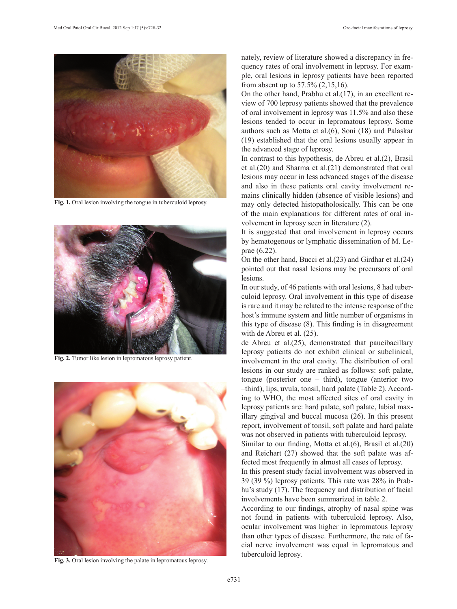

Fig. 1. Oral lesion involving the tongue in tuberculoid leprosy.



**Fig. 2.** Tumor like lesion in lepromatous leprosy patient.



**Fig. 3.** Oral lesion involving the palate in lepromatous leprosy.

nately, review of literature showed a discrepancy in frequency rates of oral involvement in leprosy. For example, oral lesions in leprosy patients have been reported from absent up to 57.5% (2,15,16).

On the other hand, Prabhu et al.(17), in an excellent review of 700 leprosy patients showed that the prevalence of oral involvement in leprosy was 11.5% and also these lesions tended to occur in lepromatous leprosy. Some authors such as Motta et al.(6), Soni (18) and Palaskar (19) established that the oral lesions usually appear in the advanced stage of leprosy.

In contrast to this hypothesis, de Abreu et al.(2), Brasil et al.(20) and Sharma et al.(21) demonstrated that oral lesions may occur in less advanced stages of the disease and also in these patients oral cavity involvement remains clinically hidden (absence of visible lesions) and may only detected histopatholosically. This can be one of the main explanations for different rates of oral involvement in leprosy seen in literature (2).

It is suggested that oral involvement in leprosy occurs by hematogenous or lymphatic dissemination of M. Leprae (6,22).

On the other hand, Bucci et al.(23) and Girdhar et al.(24) pointed out that nasal lesions may be precursors of oral lesions.

In our study, of 46 patients with oral lesions, 8 had tuberculoid leprosy. Oral involvement in this type of disease is rare and it may be related to the intense response of the host's immune system and little number of organisms in this type of disease (8). This finding is in disagreement with de Abreu et al. (25).

de Abreu et al.(25), demonstrated that paucibacillary leprosy patients do not exhibit clinical or subclinical, involvement in the oral cavity. The distribution of oral lesions in our study are ranked as follows: soft palate, tongue (posterior one – third), tongue (anterior two –third), lips, uvula, tonsil, hard palate (Table 2). According to WHO, the most affected sites of oral cavity in leprosy patients are: hard palate, soft palate, labial maxillary gingival and buccal mucosa (26). In this present report, involvement of tonsil, soft palate and hard palate was not observed in patients with tuberculoid leprosy.

Similar to our finding, Motta et al.(6), Brasil et al.(20) and Reichart (27) showed that the soft palate was affected most frequently in almost all cases of leprosy.

In this present study facial involvement was observed in 39 (39 %) leprosy patients. This rate was 28% in Prabhu's study (17). The frequency and distribution of facial involvements have been summarized in table 2.

According to our findings, atrophy of nasal spine was not found in patients with tuberculoid leprosy. Also, ocular involvement was higher in lepromatous leprosy than other types of disease. Furthermore, the rate of facial nerve involvement was equal in lepromatous and tuberculoid leprosy.